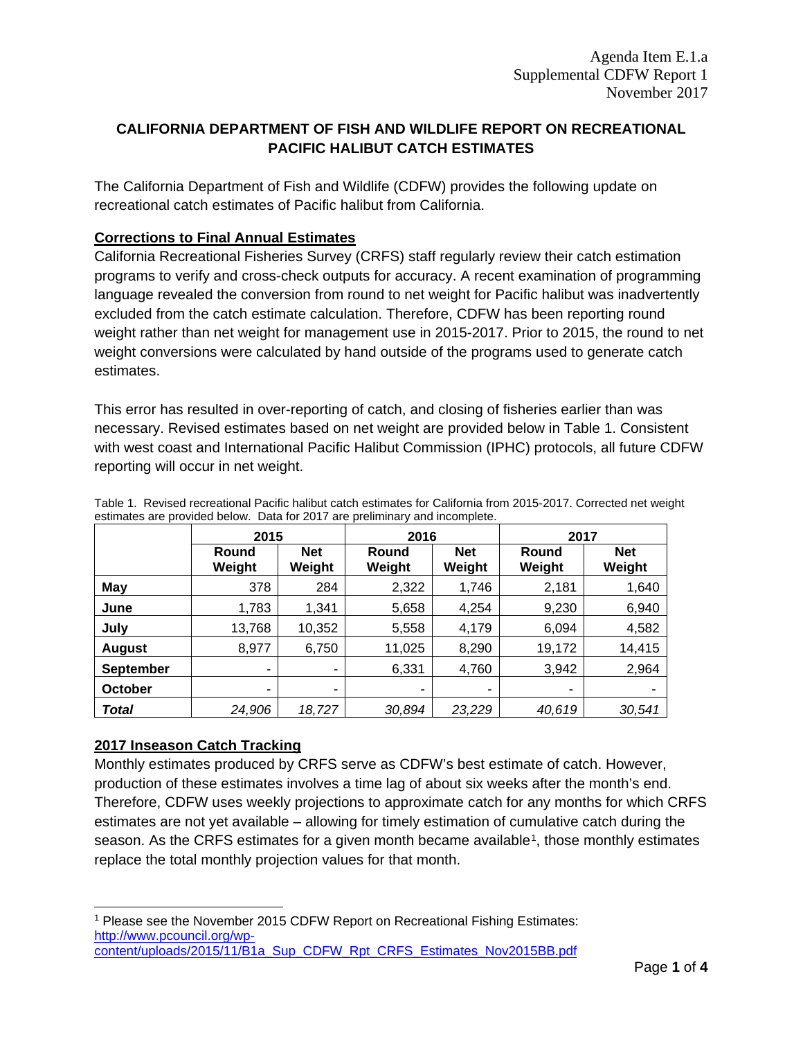# **CALIFORNIA DEPARTMENT OF FISH AND WILDLIFE REPORT ON RECREATIONAL PACIFIC HALIBUT CATCH ESTIMATES**

The California Department of Fish and Wildlife (CDFW) provides the following update on recreational catch estimates of Pacific halibut from California.

#### **Corrections to Final Annual Estimates**

California Recreational Fisheries Survey (CRFS) staff regularly review their catch estimation programs to verify and cross-check outputs for accuracy. A recent examination of programming language revealed the conversion from round to net weight for Pacific halibut was inadvertently excluded from the catch estimate calculation. Therefore, CDFW has been reporting round weight rather than net weight for management use in 2015-2017. Prior to 2015, the round to net weight conversions were calculated by hand outside of the programs used to generate catch estimates.

This error has resulted in over-reporting of catch, and closing of fisheries earlier than was necessary. Revised estimates based on net weight are provided below in Table 1. Consistent with west coast and International Pacific Halibut Commission (IPHC) protocols, all future CDFW reporting will occur in net weight.

|                  | 2015            |                      | 2016            |                      | 2017            |                      |
|------------------|-----------------|----------------------|-----------------|----------------------|-----------------|----------------------|
|                  | Round<br>Weight | <b>Net</b><br>Weight | Round<br>Weight | <b>Net</b><br>Weight | Round<br>Weight | <b>Net</b><br>Weight |
| May              | 378             | 284                  | 2,322           | 1,746                | 2,181           | 1,640                |
| June             | 1,783           | 1.341                | 5,658           | 4,254                | 9,230           | 6,940                |
| July             | 13,768          | 10,352               | 5,558           | 4,179                | 6,094           | 4,582                |
| <b>August</b>    | 8,977           | 6,750                | 11,025          | 8,290                | 19,172          | 14,415               |
| <b>September</b> | ٠               | ٠                    | 6,331           | 4,760                | 3,942           | 2,964                |
| October          | ٠               | ٠                    | ٠               | ٠                    | ۰               |                      |
| Total            | 24,906          | 18,727               | 30,894          | 23,229               | 40,619          | 30,541               |

Table 1. Revised recreational Pacific halibut catch estimates for California from 2015-2017. Corrected net weight estimates are provided below. Data for 2017 are preliminary and incomplete.

## **2017 Inseason Catch Tracking**

Monthly estimates produced by CRFS serve as CDFW's best estimate of catch. However, production of these estimates involves a time lag of about six weeks after the month's end. Therefore, CDFW uses weekly projections to approximate catch for any months for which CRFS estimates are not yet available – allowing for timely estimation of cumulative catch during the season. As the CRFS estimates for a given month became available<sup>[1](#page-0-0)</sup>, those monthly estimates replace the total monthly projection values for that month.

<span id="page-0-0"></span> <sup>1</sup> Please see the November 2015 CDFW Report on Recreational Fishing Estimates: [http://www.pcouncil.org/wp](http://www.pcouncil.org/wp-content/uploads/2015/11/B1a_Sup_CDFW_Rpt_CRFS_Estimates_Nov2015BB.pdf)[content/uploads/2015/11/B1a\\_Sup\\_CDFW\\_Rpt\\_CRFS\\_Estimates\\_Nov2015BB.pdf](http://www.pcouncil.org/wp-content/uploads/2015/11/B1a_Sup_CDFW_Rpt_CRFS_Estimates_Nov2015BB.pdf)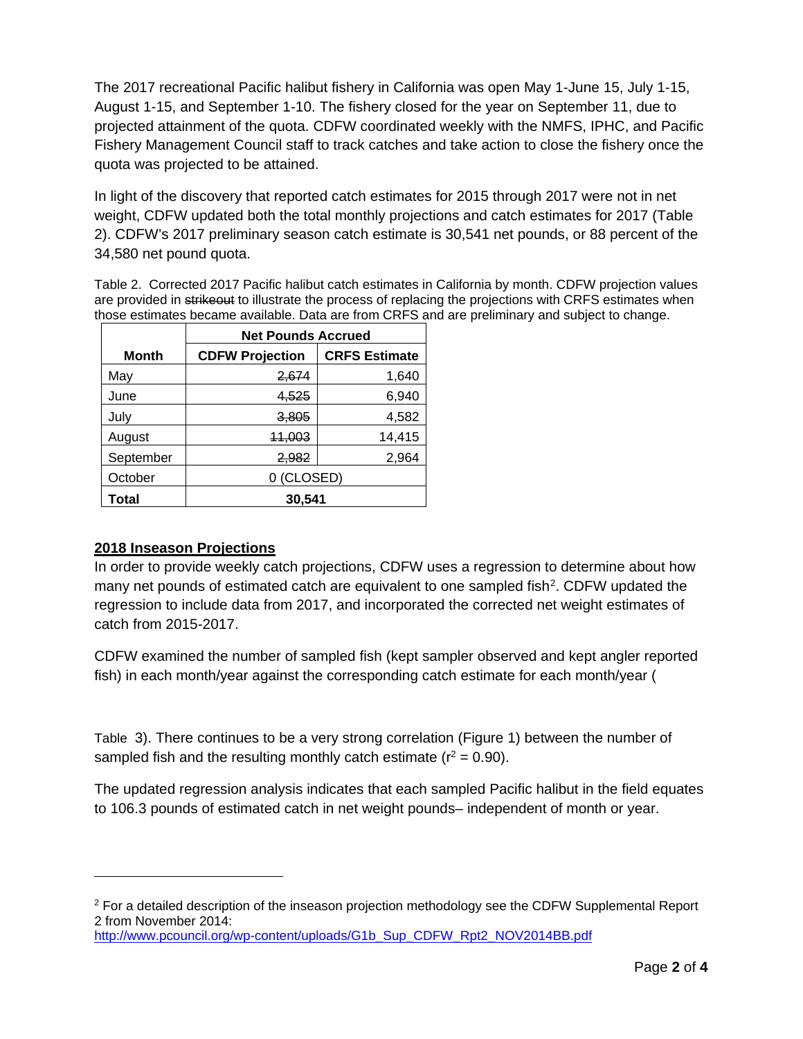The 2017 recreational Pacific halibut fishery in California was open May 1-June 15, July 1-15, August 1-15, and September 1-10. The fishery closed for the year on September 11, due to projected attainment of the quota. CDFW coordinated weekly with the NMFS, IPHC, and Pacific Fishery Management Council staff to track catches and take action to close the fishery once the quota was projected to be attained.

In light of the discovery that reported catch estimates for 2015 through 2017 were not in net weight, CDFW updated both the total monthly projections and catch estimates for 2017 (Table 2). CDFW's 2017 preliminary season catch estimate is 30,541 net pounds, or 88 percent of the 34,580 net pound quota.

Table 2. Corrected 2017 Pacific halibut catch estimates in California by month. CDFW projection values are provided in strikeout to illustrate the process of replacing the projections with CRFS estimates when those estimates became available. Data are from CRFS and are preliminary and subject to change.

|           | <b>Net Pounds Accrued</b> |                      |  |  |  |
|-----------|---------------------------|----------------------|--|--|--|
| Month     | <b>CDFW Projection</b>    | <b>CRFS Estimate</b> |  |  |  |
| May       | 2,674                     | 1,640                |  |  |  |
| June      | 4,525                     | 6,940                |  |  |  |
| July      | 3.805                     | 4,582                |  |  |  |
| August    | 11,003                    | 14,415               |  |  |  |
| September | 2,982                     | 2,964                |  |  |  |
| October   | 0 (CLOSED)                |                      |  |  |  |
| Total     | 30,541                    |                      |  |  |  |

## **2018 Inseason Projections**

 $\overline{a}$ 

In order to provide weekly catch projections, CDFW uses a regression to determine about how many net pounds of estimated catch are equivalent to one sampled fish<sup>2</sup>. CDFW updated the regression to include data from 2017, and incorporated the corrected net weight estimates of catch from 2015-2017.

CDFW examined the number of sampled fish (kept sampler observed and kept angler reported fish) in each month/year against the corresponding catch estimate for each month/year [\(](#page-2-0)

[Table](#page-2-0) 3). There continues to be a very strong correlation (Figure 1) between the number of sampled fish and the resulting monthly catch estimate ( $r^2 = 0.90$ ).

The updated regression analysis indicates that each sampled Pacific halibut in the field equates to 106.3 pounds of estimated catch in net weight pounds– independent of month or year.

<span id="page-1-0"></span> $2$  For a detailed description of the inseason projection methodology see the CDFW Supplemental Report 2 from November 2014: [http://www.pcouncil.org/wp-content/uploads/G1b\\_Sup\\_CDFW\\_Rpt2\\_NOV2014BB.pdf](http://www.pcouncil.org/wp-content/uploads/G1b_Sup_CDFW_Rpt2_NOV2014BB.pdf)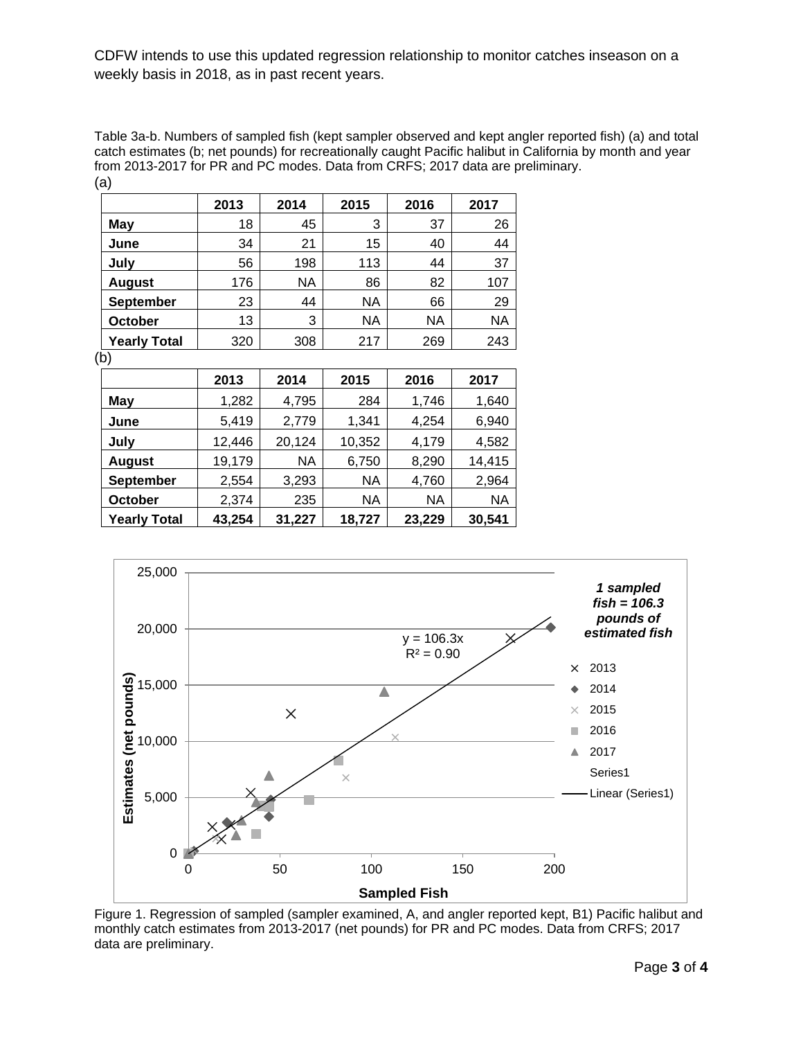CDFW intends to use this updated regression relationship to monitor catches inseason on a weekly basis in 2018, as in past recent years.

<span id="page-2-0"></span>Table 3a-b. Numbers of sampled fish (kept sampler observed and kept angler reported fish) (a) and total catch estimates (b; net pounds) for recreationally caught Pacific halibut in California by month and year from 2013-2017 for PR and PC modes. Data from CRFS; 2017 data are preliminary. (a)

|                     | 2013 | 2014 | 2015 | 2016 | 2017 |
|---------------------|------|------|------|------|------|
| May                 | 18   | 45   | 3    | 37   | 26   |
| June                | 34   | 21   | 15   | 40   | 44   |
| July                | 56   | 198  | 113  | 44   | 37   |
| <b>August</b>       | 176  | NA   | 86   | 82   | 107  |
| <b>September</b>    | 23   | 44   | NA   | 66   | 29   |
| October             | 13   | 3    | NA   | NA   | NA   |
| <b>Yearly Total</b> | 320  | 308  | 217  | 269  | 243  |

| ٠<br>٠         |
|----------------|
| I<br>۰.<br>$-$ |

|                     | 2013   | 2014   | 2015      | 2016   | 2017   |
|---------------------|--------|--------|-----------|--------|--------|
| <b>May</b>          | 1,282  | 4,795  | 284       | 1,746  | 1,640  |
| June                | 5,419  | 2,779  | 1,341     | 4,254  | 6,940  |
| July                | 12,446 | 20,124 | 10,352    | 4,179  | 4,582  |
| <b>August</b>       | 19,179 | NA     | 6,750     | 8,290  | 14,415 |
| <b>September</b>    | 2,554  | 3,293  | <b>NA</b> | 4,760  | 2,964  |
| <b>October</b>      | 2,374  | 235    | <b>NA</b> | NA     | ΝA     |
| <b>Yearly Total</b> | 43,254 | 31,227 | 18,727    | 23,229 | 30,541 |



Figure 1. Regression of sampled (sampler examined, A, and angler reported kept, B1) Pacific halibut and monthly catch estimates from 2013-2017 (net pounds) for PR and PC modes. Data from CRFS; 2017 data are preliminary.